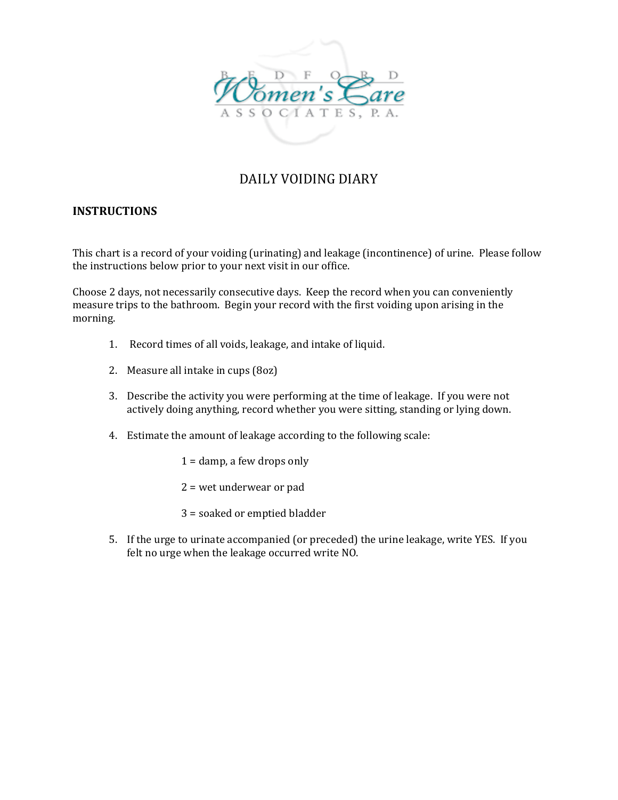

## DAILY VOIDING DIARY

## **INSTRUCTIONS**

This chart is a record of your voiding (urinating) and leakage (incontinence) of urine. Please follow the instructions below prior to your next visit in our office.

Choose 2 days, not necessarily consecutive days. Keep the record when you can conveniently measure trips to the bathroom. Begin your record with the first voiding upon arising in the morning.

- 1. Record times of all voids, leakage, and intake of liquid.
- 2. Measure all intake in cups (8oz)
- 3. Describe the activity you were performing at the time of leakage. If you were not actively doing anything, record whether you were sitting, standing or lying down.
- 4. Estimate the amount of leakage according to the following scale:
	- $1 =$  damp, a few drops only
	- 2 = wet underwear or pad
	- 3 = soaked or emptied bladder
- 5. If the urge to urinate accompanied (or preceded) the urine leakage, write YES. If you felt no urge when the leakage occurred write NO.